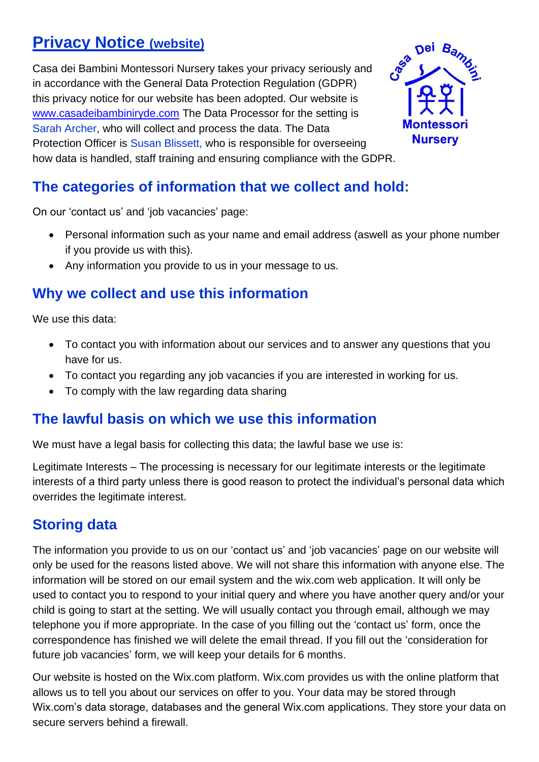# **Privacy Notice (website)**

Casa dei Bambini Montessori Nursery takes your privacy seriously and in accordance with the General Data Protection Regulation (GDPR) this privacy notice for our website has been adopted. Our website is [www.casadeibambiniryde.com](http://www.casadeibambiniryde.com/) The Data Processor for the setting is Sarah Archer, who will collect and process the data. The Data Protection Officer is Susan Blissett, who is responsible for overseeing how data is handled, staff training and ensuring compliance with the GDPR.



### **The categories of information that we collect and hold:**

On our 'contact us' and 'job vacancies' page:

- Personal information such as your name and email address (aswell as your phone number if you provide us with this).
- Any information you provide to us in your message to us.

### **Why we collect and use this information**

We use this data:

- To contact you with information about our services and to answer any questions that you have for us.
- To contact you regarding any job vacancies if you are interested in working for us.
- To comply with the law regarding data sharing

#### **The lawful basis on which we use this information**

We must have a legal basis for collecting this data; the lawful base we use is:

Legitimate Interests – The processing is necessary for our legitimate interests or the legitimate interests of a third party unless there is good reason to protect the individual's personal data which overrides the legitimate interest.

### **Storing data**

The information you provide to us on our 'contact us' and 'job vacancies' page on our website will only be used for the reasons listed above. We will not share this information with anyone else. The information will be stored on our email system and the wix.com web application. It will only be used to contact you to respond to your initial query and where you have another query and/or your child is going to start at the setting. We will usually contact you through email, although we may telephone you if more appropriate. In the case of you filling out the 'contact us' form, once the correspondence has finished we will delete the email thread. If you fill out the 'consideration for future job vacancies' form, we will keep your details for 6 months.

Our website is hosted on the Wix.com platform. Wix.com provides us with the online platform that allows us to tell you about our services on offer to you. Your data may be stored through Wix.com's data storage, databases and the general Wix.com applications. They store your data on secure servers behind a firewall.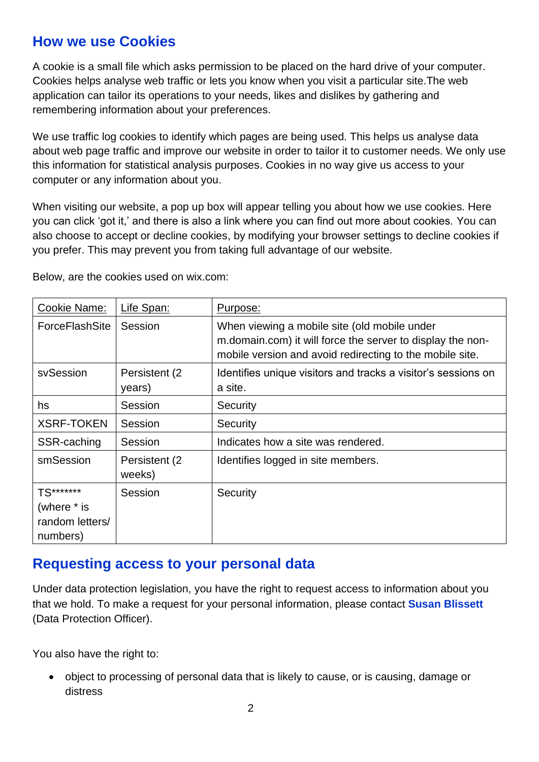#### **How we use Cookies**

A cookie is a small file which asks permission to be placed on the hard drive of your computer. Cookies helps analyse web traffic or lets you know when you visit a particular site.The web application can tailor its operations to your needs, likes and dislikes by gathering and remembering information about your preferences.

We use traffic log cookies to identify which pages are being used. This helps us analyse data about web page traffic and improve our website in order to tailor it to customer needs. We only use this information for statistical analysis purposes. Cookies in no way give us access to your computer or any information about you.

When visiting our website, a pop up box will appear telling you about how we use cookies. Here you can click 'got it,' and there is also a link where you can find out more about cookies. You can also choose to accept or decline cookies, by modifying your browser settings to decline cookies if you prefer. This may prevent you from taking full advantage of our website.

| Cookie Name:                                            | Life Span:               | Purpose:                                                                                                                                                               |
|---------------------------------------------------------|--------------------------|------------------------------------------------------------------------------------------------------------------------------------------------------------------------|
| <b>ForceFlashSite</b>                                   | Session                  | When viewing a mobile site (old mobile under<br>m.domain.com) it will force the server to display the non-<br>mobile version and avoid redirecting to the mobile site. |
| svSession                                               | Persistent (2)<br>years) | Identifies unique visitors and tracks a visitor's sessions on<br>a site.                                                                                               |
| hs                                                      | Session                  | Security                                                                                                                                                               |
| <b>XSRF-TOKEN</b>                                       | Session                  | Security                                                                                                                                                               |
| SSR-caching                                             | Session                  | Indicates how a site was rendered.                                                                                                                                     |
| smSession                                               | Persistent (2)<br>weeks) | Identifies logged in site members.                                                                                                                                     |
| TS*******<br>(where * is<br>random letters/<br>numbers) | Session                  | Security                                                                                                                                                               |

Below, are the cookies used on wix.com:

#### **Requesting access to your personal data**

Under data protection legislation, you have the right to request access to information about you that we hold. To make a request for your personal information, please contact **Susan Blissett**  (Data Protection Officer).

You also have the right to:

• object to processing of personal data that is likely to cause, or is causing, damage or distress